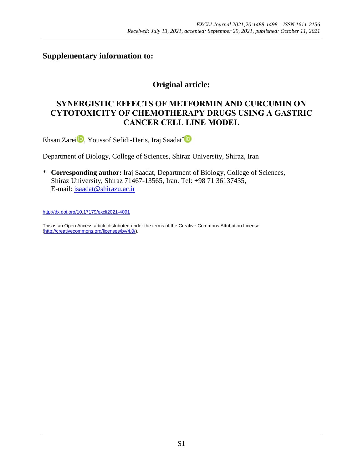## **Supplementary information to:**

## **Original article:**

## **SYNERGISTIC EFFECTS OF METFORMIN AND CURCUMIN ON CYTOTOXICITY OF CHEMOTHERAPY DRUGS USING A GASTRIC CANCER CELL LINE MODEL**

Ehsan Zarei **D**[,](https://orcid.org/0000-0001-5284-1133) Youssof Sefidi-Heris, Iraj Saadat\*

Department of Biology, College of Sciences, Shiraz University, Shiraz, Iran

\* **Corresponding author:** Iraj Saadat, Department of Biology, College of Sciences, Shiraz University, Shiraz 71467-13565, Iran. Tel: +98 71 36137435, E-mail: [isaadat@shirazu.ac.ir](mailto:isaadat@shirazu.ac.ir)

<http://dx.doi.org/10.17179/excli2021-4091>

This is an Open Access article distributed under the terms of the Creative Commons Attribution License [\(http://creativecommons.org/licenses/by/4.0/\)](http://creativecommons.org/licenses/by/4.0/).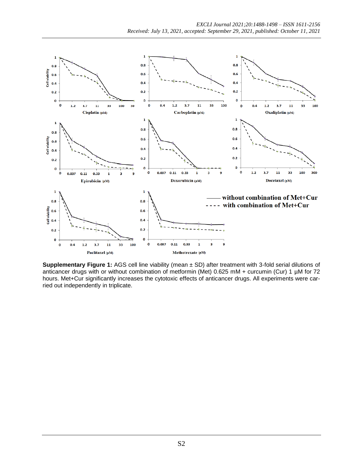

**Supplementary Figure 1:** AGS cell line viability (mean ± SD) after treatment with 3-fold serial dilutions of anticancer drugs with or without combination of metformin (Met) 0.625 mM + curcumin (Cur) 1 µM for 72 hours. Met+Cur significantly increases the cytotoxic effects of anticancer drugs. All experiments were carried out independently in triplicate.